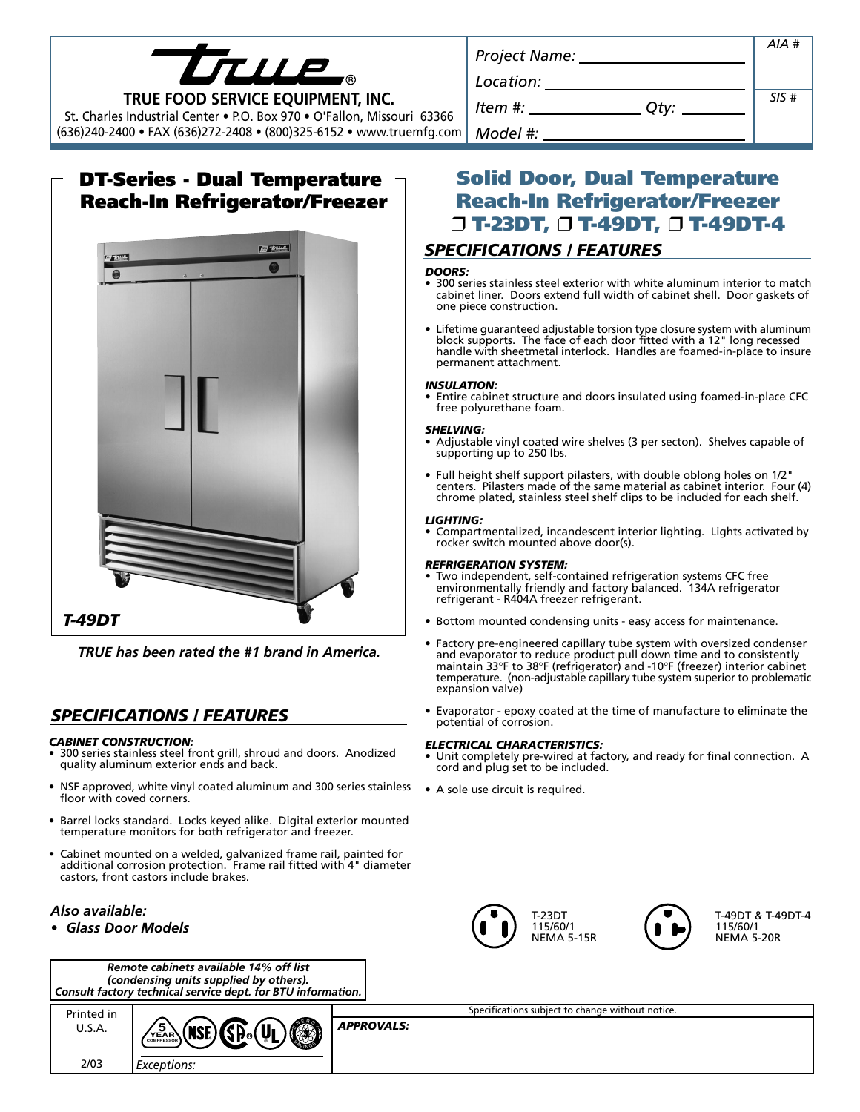| TII                               |
|-----------------------------------|
| TRUE FOOD SERVICE EQUIPMENT, INC. |

St. Charles Industrial Center • P.O. Box 970 • O'Fallon, Missouri 63366

(636)240-2400 • FAX (636)272-2408 • (800)325-6152 • www.truemfg.com

# **DT-Series - Dual Temperature Reach-In Refrigerator/Freezer**



*TRUE has been rated the #1 brand in America.*

## *SPECIFICATIONS / FEATURES*

#### *CABINET CONSTRUCTION:*

- 300 series stainless steel front grill, shroud and doors. Anodized quality aluminum exterior ends and back.
- NSF approved, white vinyl coated aluminum and 300 series stainless floor with coved corners.
- Barrel locks standard. Locks keyed alike. Digital exterior mounted temperature monitors for both refrigerator and freezer.
- Cabinet mounted on a welded, galvanized frame rail, painted for additional corrosion protection. Frame rail fitted with 4" diameter

| castors, front castors include brakes. |  |
|----------------------------------------|--|
| Also available:<br>• Glass Door Models |  |



| Printed in | $\mathbb{G}$ $\mathbb{G}$ $\mathbb{G}$ $\mathbb{U}$<br>(wc)<br>/5 | <b>APPROVALS:</b> |
|------------|-------------------------------------------------------------------|-------------------|
| フハマ        | Exceptions:                                                       |                   |

| Project Name:     | AIA # |
|-------------------|-------|
| Location:         |       |
| ltem #: _<br>Qty: | SIS#  |
| Model #:          |       |

# **Solid Door, Dual Temperature Reach-In Refrigerator/Freezer** ❒ **T-23DT,** ❒ **T-49DT,** ❒ **T-49DT-4**

## *SPECIFICATIONS / FEATURES*

#### *DOORS:*

- 300 series stainless steel exterior with white aluminum interior to match cabinet liner. Doors extend full width of cabinet shell. Door gaskets of one piece construction.
- Lifetime guaranteed adjustable torsion type closure system with aluminum block supports. The face of each door fitted with a 12" long recessed handle with sheetmetal interlock. Handles are foamed-in-place to insure permanent attachment.

#### *INSULATION:*

• Entire cabinet structure and doors insulated using foamed-in-place CFC free polyurethane foam.

#### *SHELVING:*

- Adjustable vinyl coated wire shelves (3 per secton). Shelves capable of supporting up to 250 lbs.
- Full height shelf support pilasters, with double oblong holes on 1/2" centers. Pilasters made of the same material as cabinet interior. Four (4) chrome plated, stainless steel shelf clips to be included for each shelf.

#### *LIGHTING:*

• Compartmentalized, incandescent interior lighting. Lights activated by rocker switch mounted above door(s).

#### *REFRIGERATION SYSTEM:*

- Two independent, self-contained refrigeration systems CFC free environmentally friendly and factory balanced. 134A refrigerator refrigerant - R404A freezer refrigerant.
- Bottom mounted condensing units easy access for maintenance.
- Factory pre-engineered capillary tube system with oversized condenser and evaporator to reduce product pull down time and to consistently maintain 33°F to 38°F (refrigerator) and -10°F (freezer) interior cabinet temperature. (non-adjustable capillary tube system superior to problematic expansion valve)
- Evaporator epoxy coated at the time of manufacture to eliminate the potential of corrosion.

#### *ELECTRICAL CHARACTERISTICS:*

- Unit completely pre-wired at factory, and ready for final connection. A cord and plug set to be included.
- A sole use circuit is required.





T-49DT & T-49DT-4 115/60/1 NEMA 5-20R

Specifications subject to change without notice.